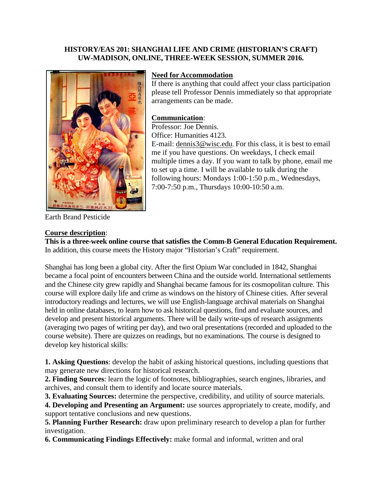### **HISTORY/EAS 201: SHANGHAI LIFE AND CRIME (HISTORIAN'S CRAFT) UW-MADISON, ONLINE, THREE-WEEK SESSION, SUMMER 2016.**



# **Need for Accommodation**

If there is anything that could affect your class participation please tell Professor Dennis immediately so that appropriate arrangements can be made.

### **Communication**:

Professor: Joe Dennis. Office: Humanities 4123.

E-mail: [dennis3@wisc.edu](mailto:dennis3@wisc.edu). For this class, it is best to email me if you have questions. On weekdays, I check email multiple times a day. If you want to talk by phone, email me to set up a time. I will be available to talk during the following hours: Mondays 1:00-1:50 p.m., Wednesdays, 7:00-7:50 p.m., Thursdays 10:00-10:50 a.m.

Earth Brand Pesticide

#### **Course description**:

**This is a three-week online course that satisfies the Comm-B General Education Requirement.** In addition, this course meets the History major "Historian's Craft" requirement.

Shanghai has long been a global city. After the first Opium War concluded in 1842, Shanghai became a focal point of encounters between China and the outside world. International settlements and the Chinese city grew rapidly and Shanghai became famous for its cosmopolitan culture. This course will explore daily life and crime as windows on the history of Chinese cities. After several introductory readings and lectures, we will use English-language archival materials on Shanghai held in online databases, to learn how to ask historical questions, find and evaluate sources, and develop and present historical arguments. There will be daily write-ups of research assignments (averaging two pages of writing per day), and two oral presentations (recorded and uploaded to the course website). There are quizzes on readings, but no examinations. The course is designed to develop key historical skills:

**1. Asking Questions**: develop the habit of asking historical questions, including questions that may generate new directions for historical research.

**2. Finding Sources**: learn the logic of footnotes, bibliographies, search engines, libraries, and archives, and consult them to identify and locate source materials.

**3. Evaluating Sources:** determine the perspective, credibility, and utility of source materials.

**4. Developing and Presenting an Argument:** use sources appropriately to create, modify, and support tentative conclusions and new questions.

**5. Planning Further Research:** draw upon preliminary research to develop a plan for further investigation.

**6. Communicating Findings Effectively:** make formal and informal, written and oral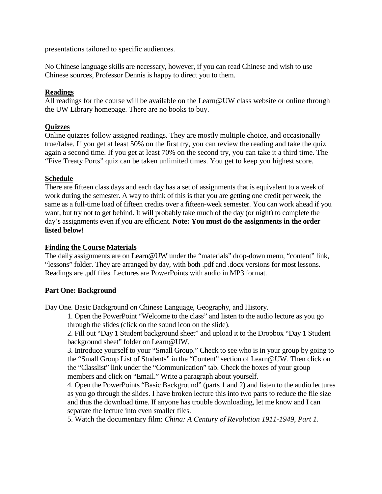presentations tailored to specific audiences.

No Chinese language skills are necessary, however, if you can read Chinese and wish to use Chinese sources, Professor Dennis is happy to direct you to them.

# **Readings**

All readings for the course will be available on the Learn@UW class website or online through the UW Library homepage. There are no books to buy.

# **Quizzes**

Online quizzes follow assigned readings. They are mostly multiple choice, and occasionally true/false. If you get at least 50% on the first try, you can review the reading and take the quiz again a second time. If you get at least 70% on the second try, you can take it a third time. The "Five Treaty Ports" quiz can be taken unlimited times. You get to keep you highest score.

# **Schedule**

There are fifteen class days and each day has a set of assignments that is equivalent to a week of work during the semester. A way to think of this is that you are getting one credit per week, the same as a full-time load of fifteen credits over a fifteen-week semester. You can work ahead if you want, but try not to get behind. It will probably take much of the day (or night) to complete the day's assignments even if you are efficient. **Note: You must do the assignments in the order listed below!** 

### **Finding the Course Materials**

The daily assignments are on Learn@UW under the "materials" drop-down menu, "content" link, "lessons" folder. They are arranged by day, with both .pdf and .docx versions for most lessons. Readings are .pdf files. Lectures are PowerPoints with audio in MP3 format.

### **Part One: Background**

Day One. Basic Background on Chinese Language, Geography, and History.

1. Open the PowerPoint "Welcome to the class" and listen to the audio lecture as you go through the slides (click on the sound icon on the slide).

2. Fill out "Day 1 Student background sheet" and upload it to the Dropbox "Day 1 Student background sheet" folder on Learn@UW.

3. Introduce yourself to your "Small Group." Check to see who is in your group by going to the "Small Group List of Students" in the "Content" section of Learn@UW. Then click on the "Classlist" link under the "Communication" tab. Check the boxes of your group members and click on "Email." Write a paragraph about yourself.

4. Open the PowerPoints "Basic Background" (parts 1 and 2) and listen to the audio lectures as you go through the slides. I have broken lecture this into two parts to reduce the file size and thus the download time. If anyone has trouble downloading, let me know and I can separate the lecture into even smaller files.

5. Watch the documentary film: *China: A Century of Revolution 1911-1949*, *Part 1*.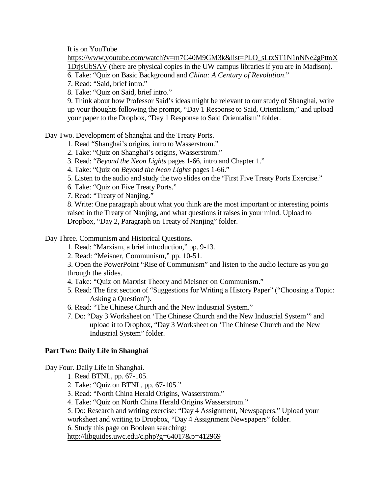It is on YouTube

[https://www.youtube.com/watch?v=m7C40M9GM3k&list=PLO\\_sLtxST1N1nNNe2gPttoX](https://www.youtube.com/watch?v=m7C40M9GM3k&list=PLO_sLtxST1N1nNNe2gPttoX1DrjsUbSAV) [1DrjsUbSAV](https://www.youtube.com/watch?v=m7C40M9GM3k&list=PLO_sLtxST1N1nNNe2gPttoX1DrjsUbSAV) (there are physical copies in the UW campus libraries if you are in Madison).

6. Take: "Quiz on Basic Background and *China: A Century of Revolution*."

7. Read: "Said, brief intro."

8. Take: "Quiz on Said, brief intro."

9. Think about how Professor Said's ideas might be relevant to our study of Shanghai, write up your thoughts following the prompt, "Day 1 Response to Said, Orientalism," and upload your paper to the Dropbox, "Day 1 Response to Said Orientalism" folder.

Day Two. Development of Shanghai and the Treaty Ports.

1. Read "Shanghai's origins, intro to Wasserstrom."

2. Take: "Quiz on Shanghai's origins, Wasserstrom."

3. Read: "*Beyond the Neon Lights* pages 1-66, intro and Chapter 1."

4. Take: "Quiz on *Beyond the Neon Lights* pages 1-66."

5. Listen to the audio and study the two slides on the "First Five Treaty Ports Exercise."

6. Take: "Quiz on Five Treaty Ports."

7. Read: "Treaty of Nanjing."

8. Write: One paragraph about what you think are the most important or interesting points raised in the Treaty of Nanjing, and what questions it raises in your mind. Upload to Dropbox, "Day 2, Paragraph on Treaty of Nanjing" folder.

Day Three. Communism and Historical Questions.

1. Read: "Marxism, a brief introduction," pp. 9-13.

2. Read: "Meisner, Communism," pp. 10-51.

3. Open the PowerPoint "Rise of Communism" and listen to the audio lecture as you go through the slides.

4. Take: "Quiz on Marxist Theory and Meisner on Communism."

5. Read: The first section of "Suggestions for Writing a History Paper" ("Choosing a Topic: Asking a Question").

6. Read: "The Chinese Church and the New Industrial System."

7. Do: "Day 3 Worksheet on 'The Chinese Church and the New Industrial System'" and upload it to Dropbox, "Day 3 Worksheet on 'The Chinese Church and the New Industrial System" folder.

# **Part Two: Daily Life in Shanghai**

Day Four. Daily Life in Shanghai.

1. Read BTNL, pp. 67-105.

2. Take: "Quiz on BTNL, pp. 67-105."

3. Read: "North China Herald Origins, Wasserstrom."

4. Take: "Quiz on North China Herald Origins Wasserstrom."

5. Do: Research and writing exercise: "Day 4 Assignment, Newspapers." Upload your

worksheet and writing to Dropbox, "Day 4 Assignment Newspapers" folder.

6. Study this page on Boolean searching:

<http://libguides.uwc.edu/c.php?g=64017&p=412969>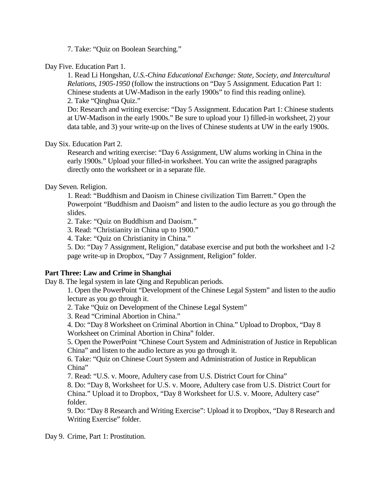7. Take: "Quiz on Boolean Searching."

Day Five. Education Part 1.

1. Read Li Hongshan, *U.S.-China Educational Exchange: State, Society, and Intercultural Relations, 1905-1950* (follow the instructions on "Day 5 Assignment. Education Part 1: Chinese students at UW-Madison in the early 1900s" to find this reading online). 2. Take "Qinghua Quiz."

Do: Research and writing exercise: "Day 5 Assignment. Education Part 1: Chinese students at UW-Madison in the early 1900s." Be sure to upload your 1) filled-in worksheet, 2) your data table, and 3) your write-up on the lives of Chinese students at UW in the early 1900s.

Day Six. Education Part 2.

Research and writing exercise: "Day 6 Assignment, UW alums working in China in the early 1900s." Upload your filled-in worksheet. You can write the assigned paragraphs directly onto the worksheet or in a separate file.

Day Seven. Religion.

1. Read: ["Buddhism and Daoism in Chinese civilization Tim Barrett.](https://uwmad.courses.wisconsin.edu/d2l/le/content/3318463/viewContent/20221301/View)" Open the Powerpoint "Buddhism and Daoism" and listen to the audio lecture as you go through the slides.

2. Take: "Quiz on Buddhism and Daoism."

3. Read: "Christianity in China up to 1900."

4. Take: "Quiz on Christianity in China."

5. Do: "Day 7 Assignment, Religion," database exercise and put both the worksheet and 1-2 page write-up in Dropbox, "Day 7 Assignment, Religion" folder.

### **Part Three: Law and Crime in Shanghai**

Day 8. The legal system in late Qing and Republican periods.

1. Open the PowerPoint "Development of the Chinese Legal System" and listen to the audio lecture as you go through it.

2. Take "Quiz on Development of the Chinese Legal System"

3. Read "Criminal Abortion in China."

4. Do: "Day 8 Worksheet on Criminal Abortion in China." Upload to Dropbox, "Day 8 Worksheet on Criminal Abortion in China" folder.

5. Open the PowerPoint "Chinese Court System and Administration of Justice in Republican China" and listen to the audio lecture as you go through it.

6. Take: "Quiz on Chinese Court System and Administration of Justice in Republican China"

7. Read: "U.S. v. Moore, Adultery case from U.S. District Court for China"

8. Do: "Day 8, Worksheet for U.S. v. Moore, Adultery case from U.S. District Court for China." Upload it to Dropbox, "Day 8 Worksheet for U.S. v. Moore, Adultery case" folder.

9. Do: "Day 8 Research and Writing Exercise": Upload it to Dropbox, "Day 8 Research and Writing Exercise" folder.

Day 9. Crime, Part 1: Prostitution.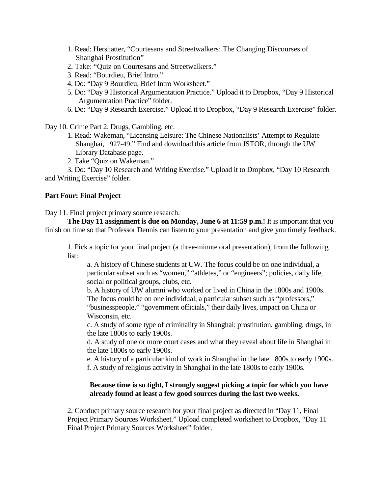- 1. Read: Hershatter, "Courtesans and Streetwalkers: The Changing Discourses of Shanghai Prostitution"
- 2. Take: "Quiz on Courtesans and Streetwalkers."
- 3. Read: "Bourdieu, Brief Intro."
- 4. Do: "Day 9 Bourdieu, Brief Intro Worksheet."
- 5. Do: "Day 9 Historical Argumentation Practice." Upload it to Dropbox, "Day 9 Historical Argumentation Practice" folder.
- 6. Do: "Day 9 Research Exercise." Upload it to Dropbox, "Day 9 Research Exercise" folder.

Day 10. Crime Part 2. Drugs, Gambling, etc.

- 1. Read: Wakeman, "Licensing Leisure: The Chinese Nationalists' Attempt to Regulate Shanghai, 1927-49." Find and download this article from JSTOR, through the UW Library Database page.
- 2. Take "Quiz on Wakeman."

3. Do: "Day 10 Research and Writing Exercise." Upload it to Dropbox, "Day 10 Research and Writing Exercise" folder.

### **Part Four: Final Project**

Day 11. Final project primary source research.

**The Day 11 assignment is due on Monday, June 6 at 11:59 p.m.!** It is important that you finish on time so that Professor Dennis can listen to your presentation and give you timely feedback.

1. Pick a topic for your final project (a three-minute oral presentation), from the following list:

a. A history of Chinese students at UW. The focus could be on one individual, a particular subset such as "women," "athletes," or "engineers"; policies, daily life, social or political groups, clubs, etc.

b. A history of UW alumni who worked or lived in China in the 1800s and 1900s. The focus could be on one individual, a particular subset such as "professors," "businesspeople," "government officials," their daily lives, impact on China or Wisconsin, etc.

c. A study of some type of criminality in Shanghai: prostitution, gambling, drugs, in the late 1800s to early 1900s.

d. A study of one or more court cases and what they reveal about life in Shanghai in the late 1800s to early 1900s.

e. A history of a particular kind of work in Shanghai in the late 1800s to early 1900s. f. A study of religious activity in Shanghai in the late 1800s to early 1900s.

### **Because time is so tight, I strongly suggest picking a topic for which you have already found at least a few good sources during the last two weeks.**

2. Conduct primary source research for your final project as directed in "Day 11, Final Project Primary Sources Worksheet." Upload completed worksheet to Dropbox, "Day 11 Final Project Primary Sources Worksheet" folder.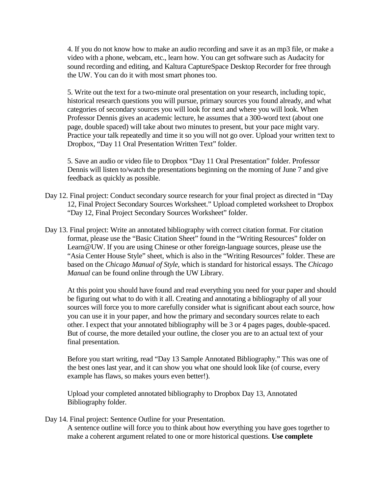4. If you do not know how to make an audio recording and save it as an mp3 file, or make a video with a phone, webcam, etc., learn how. You can get software such as Audacity for sound recording and editing, and Kaltura CaptureSpace Desktop Recorder for free through the UW. You can do it with most smart phones too.

5. Write out the text for a two-minute oral presentation on your research, including topic, historical research questions you will pursue, primary sources you found already, and what categories of secondary sources you will look for next and where you will look. When Professor Dennis gives an academic lecture, he assumes that a 300-word text (about one page, double spaced) will take about two minutes to present, but your pace might vary. Practice your talk repeatedly and time it so you will not go over. Upload your written text to Dropbox, "Day 11 Oral Presentation Written Text" folder.

5. Save an audio or video file to Dropbox "Day 11 Oral Presentation" folder. Professor Dennis will listen to/watch the presentations beginning on the morning of June 7 and give feedback as quickly as possible.

- Day 12. Final project: Conduct secondary source research for your final project as directed in "Day 12, Final Project Secondary Sources Worksheet." Upload completed worksheet to Dropbox "Day 12, Final Project Secondary Sources Worksheet" folder.
- Day 13. Final project: Write an annotated bibliography with correct citation format. For citation format, please use the "Basic Citation Sheet" found in the "Writing Resources" folder on Learn@UW. If you are using Chinese or other foreign-language sources, please use the "Asia Center House Style" sheet, which is also in the "Writing Resources" folder. These are based on the *Chicago Manual of Style*, which is standard for historical essays. The *Chicago Manual* can be found online through the UW Library.

At this point you should have found and read everything you need for your paper and should be figuring out what to do with it all. Creating and annotating a bibliography of all your sources will force you to more carefully consider what is significant about each source, how you can use it in your paper, and how the primary and secondary sources relate to each other. I expect that your annotated bibliography will be 3 or 4 pages pages, double-spaced. But of course, the more detailed your outline, the closer you are to an actual text of your final presentation.

Before you start writing, read "Day 13 Sample Annotated Bibliography." This was one of the best ones last year, and it can show you what one should look like (of course, every example has flaws, so makes yours even better!).

Upload your completed annotated bibliography to Dropbox Day 13, Annotated Bibliography folder.

Day 14. Final project: Sentence Outline for your Presentation. A sentence outline will force you to think about how everything you have goes together to

make a coherent argument related to one or more historical questions. **Use complete**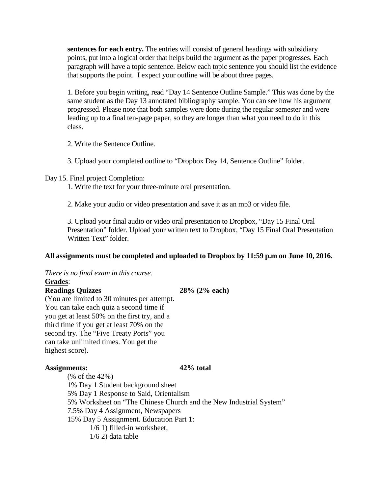**sentences for each entry.** The entries will consist of general headings with subsidiary points, put into a logical order that helps build the argument as the paper progresses. Each paragraph will have a topic sentence. Below each topic sentence you should list the evidence that supports the point. I expect your outline will be about three pages.

1. Before you begin writing, read "Day 14 Sentence Outline Sample." This was done by the same student as the Day 13 annotated bibliography sample. You can see how his argument progressed. Please note that both samples were done during the regular semester and were leading up to a final ten-page paper, so they are longer than what you need to do in this class.

2. Write the Sentence Outline.

3. Upload your completed outline to "Dropbox Day 14, Sentence Outline" folder.

# Day 15. Final project Completion:

1. Write the text for your three-minute oral presentation.

2. Make your audio or video presentation and save it as an mp3 or video file.

3. Upload your final audio or video oral presentation to Dropbox, "Day 15 Final Oral Presentation" folder. Upload your written text to Dropbox, "Day 15 Final Oral Presentation Written Text" folder.

# **All assignments must be completed and uploaded to Dropbox by 11:59 p.m on June 10, 2016.**

*There is no final exam in this course.* **Grades**: **Readings Quizzes 28% (2% each)**

(You are limited to 30 minutes per attempt. You can take each quiz a second time if you get at least 50% on the first try, and a third time if you get at least 70% on the second try. The "Five Treaty Ports" you can take unlimited times. You get the highest score).

# **Assignments: 42% total**

(% of the 42%) 1% Day 1 Student background sheet 5% Day 1 Response to Said, Orientalism 5% Worksheet on "The Chinese Church and the New Industrial System" 7.5% Day 4 Assignment, Newspapers 15% Day 5 Assignment. Education Part 1: 1/6 1) filled-in worksheet, 1/6 2) data table